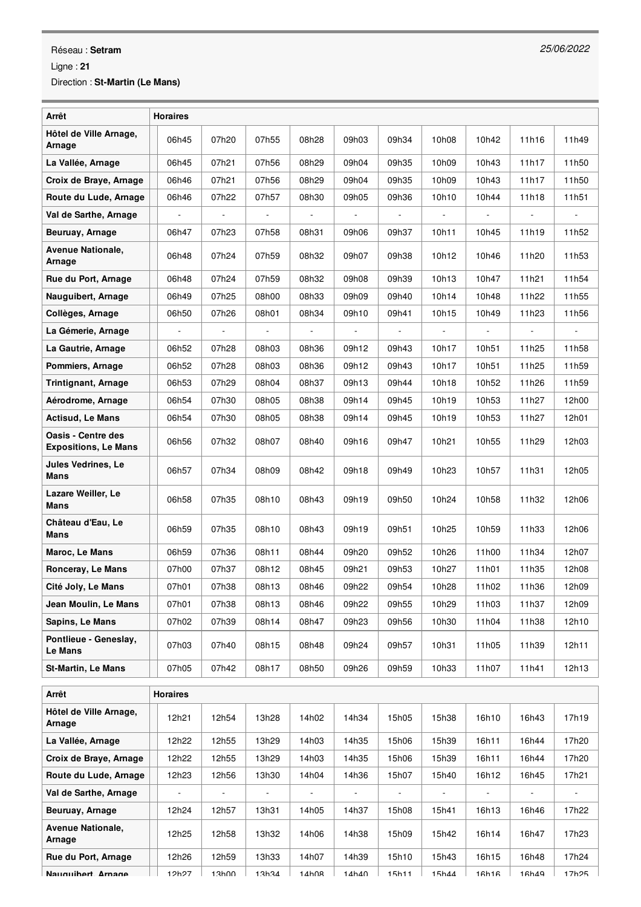## Réseau : **Setram**

Ligne : **21**

Direction : **St-Martin (Le Mans)**

| Arrêt                                                    | <b>Horaires</b> |                |                |                |                          |                          |                          |                |                          |                          |
|----------------------------------------------------------|-----------------|----------------|----------------|----------------|--------------------------|--------------------------|--------------------------|----------------|--------------------------|--------------------------|
| Hôtel de Ville Arnage,<br>Arnage                         | 06h45           | 07h20          | 07h55          | 08h28          | 09h03                    | 09h34                    | 10h08                    | 10h42          | 11h16                    | 11h49                    |
| La Vallée, Arnage                                        | 06h45           | 07h21          | 07h56          | 08h29          | 09h04                    | 09h35                    | 10h09                    | 10h43          | 11h17                    | 11h50                    |
| Croix de Braye, Arnage                                   | 06h46           | 07h21          | 07h56          | 08h29          | 09h04                    | 09h35                    | 10h09                    | 10h43          | 11h17                    | 11h50                    |
| Route du Lude, Arnage                                    | 06h46           | 07h22          | 07h57          | 08h30          | 09h05                    | 09h36                    | 10h10                    | 10h44          | 11h18                    | 11h51                    |
| Val de Sarthe, Arnage                                    | ÷,              | $\blacksquare$ | $\blacksquare$ | $\blacksquare$ | $\Box$                   | $\overline{\phantom{a}}$ | ÷,                       | $\blacksquare$ | $\blacksquare$           | $\overline{\phantom{a}}$ |
| Beuruay, Arnage                                          | 06h47           | 07h23          | 07h58          | 08h31          | 09h06                    | 09h37                    | 10h11                    | 10h45          | 11h19                    | 11h52                    |
| <b>Avenue Nationale,</b><br>Arnage                       | 06h48           | 07h24          | 07h59          | 08h32          | 09h07                    | 09h38                    | 10h12                    | 10h46          | 11h20                    | 11h53                    |
| Rue du Port, Arnage                                      | 06h48           | 07h24          | 07h59          | 08h32          | 09h08                    | 09h39                    | 10h13                    | 10h47          | 11h21                    | 11h54                    |
| Nauguibert, Arnage                                       | 06h49           | 07h25          | 08h00          | 08h33          | 09h09                    | 09h40                    | 10h14                    | 10h48          | 11h22                    | 11h55                    |
| Collèges, Arnage                                         | 06h50           | 07h26          | 08h01          | 08h34          | 09h10                    | 09h41                    | 10h15                    | 10h49          | 11h23                    | 11h56                    |
| La Gémerie, Arnage                                       | $\Box$          | $\blacksquare$ | $\blacksquare$ | $\blacksquare$ | $\overline{\phantom{a}}$ | $\blacksquare$           | $\overline{\phantom{a}}$ | $\blacksquare$ | $\overline{\phantom{a}}$ | $\blacksquare$           |
| La Gautrie, Arnage                                       | 06h52           | 07h28          | 08h03          | 08h36          | 09h12                    | 09h43                    | 10h17                    | 10h51          | 11h25                    | 11h58                    |
| Pommiers, Arnage                                         | 06h52           | 07h28          | 08h03          | 08h36          | 09h12                    | 09h43                    | 10h17                    | 10h51          | 11h25                    | 11h59                    |
| <b>Trintignant, Arnage</b>                               | 06h53           | 07h29          | 08h04          | 08h37          | 09h13                    | 09h44                    | 10h18                    | 10h52          | 11h26                    | 11h59                    |
| Aérodrome, Arnage                                        | 06h54           | 07h30          | 08h05          | 08h38          | 09h14                    | 09h45                    | 10h19                    | 10h53          | 11h27                    | 12h00                    |
| <b>Actisud, Le Mans</b>                                  | 06h54           | 07h30          | 08h05          | 08h38          | 09h14                    | 09h45                    | 10h19                    | 10h53          | 11h27                    | 12h01                    |
| <b>Oasis - Centre des</b><br><b>Expositions, Le Mans</b> | 06h56           | 07h32          | 08h07          | 08h40          | 09h16                    | 09h47                    | 10h21                    | 10h55          | 11h29                    | 12h03                    |
| <b>Jules Vedrines, Le</b><br>Mans                        | 06h57           | 07h34          | 08h09          | 08h42          | 09h18                    | 09h49                    | 10h23                    | 10h57          | 11h31                    | 12h05                    |
| Lazare Weiller, Le<br>Mans                               | 06h58           | 07h35          | 08h10          | 08h43          | 09h19                    | 09h50                    | 10h24                    | 10h58          | 11h32                    | 12h06                    |
| Château d'Eau, Le<br>Mans                                | 06h59           | 07h35          | 08h10          | 08h43          | 09h19                    | 09h51                    | 10h25                    | 10h59          | 11h33                    | 12h06                    |
| Maroc, Le Mans                                           | 06h59           | 07h36          | 08h11          | 08h44          | 09h20                    | 09h52                    | 10h26                    | 11h00          | 11h34                    | 12h07                    |
| Ronceray, Le Mans                                        | 07h00           | 07h37          | 08h12          | 08h45          | 09h21                    | 09h53                    | 10h27                    | 11h01          | 11h35                    | 12h08                    |
| Cité Joly, Le Mans                                       | 07h01           | 07h38          | 08h13          | 08h46          | 09h22                    | 09h54                    | 10h28                    | 11h02          | 11h36                    | 12h09                    |
| Jean Moulin, Le Mans                                     | 07h01           | 07h38          | 08h13          | 08h46          | 09h22                    | 09h55                    | 10h29                    | 11h03          | 11h37                    | 12h09                    |
| Sapins, Le Mans                                          | 07h02           | 07h39          | 08h14          | 08h47          | 09h23                    | 09h56                    | 10h30                    | 11h04          | 11h38                    | 12h10                    |
| Pontlieue - Geneslay,<br>Le Mans                         | 07h03           | 07h40          | 08h15          | 08h48          | 09h24                    | 09h57                    | 10h31                    | 11h05          | 11h39                    | 12h11                    |
| <b>St-Martin, Le Mans</b>                                | 07h05           | 07h42          | 08h17          | 08h50          | 09h26                    | 09h59                    | 10h33                    | 11h07          | 11h41                    | 12h13                    |
| Arrêt                                                    | <b>Horaires</b> |                |                |                |                          |                          |                          |                |                          |                          |
| Hôtel de Ville Arnage,<br>Arnage                         | 12h21           | 12h54          | 13h28          | 14h02          | 14h34                    | 15h05                    | 15h38                    | 16h10          | 16h43                    | 17h19                    |
| La Vallée, Arnage                                        | 12h22           | 12h55          | 13h29          | 14h03          | 14h35                    | 15h06                    | 15h39                    | 16h11          | 16h44                    | 17h20                    |
| Croix de Braye, Arnage                                   | 12h22           | 12h55          | 13h29          | 14h03          | 14h35                    | 15h06                    | 15h39                    | 16h11          | 16h44                    | 17h20                    |
| Route du Lude, Arnage                                    | 12h23           | 12h56          | 13h30          | 14h04          | 14h36                    | 15h07                    | 15h40                    | 16h12          | 16h45                    | 17h21                    |
| Val de Sarthe, Arnage                                    |                 |                |                |                |                          |                          |                          |                |                          |                          |
| Beuruay, Arnage                                          | 12h24           | 12h57          | 13h31          | 14h05          | 14h37                    | 15h08                    | 15h41                    | 16h13          | 16h46                    | 17h22                    |
| <b>Avenue Nationale,</b><br>Arnage                       | 12h25           | 12h58          | 13h32          | 14h06          | 14h38                    | 15h09                    | 15h42                    | 16h14          | 16h47                    | 17h23                    |
| Rue du Port, Arnage                                      | 12h26           | 12h59          | 13h33          | 14h07          | 14h39                    | 15h10                    | 15h43                    | 16h15          | 16h48                    | 17h24                    |
| Nauduihert Arnade                                        | 12h27           | 13h00          | 13h34          | $14h$ $0R$     | 14h40                    | 15h11                    | 15h44                    | 16h16          | 16h49                    | 17h25                    |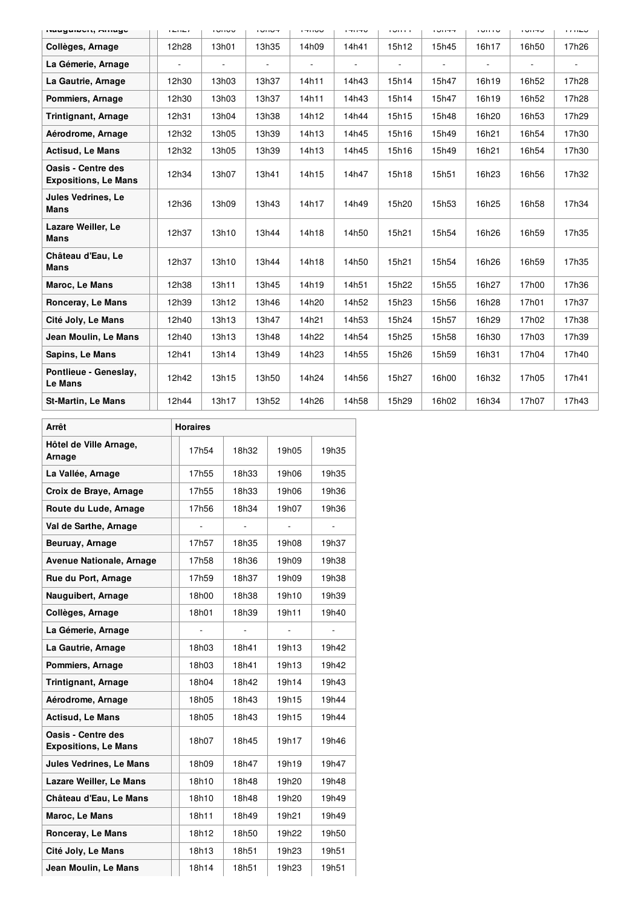| naugunon, mnago                                   | $1 - 11 - 1$ | י טוויט                  | דטווטו         | טטוודו                   | טדוודו         | <b>IUIII</b>   | דדווטו | טוווטו | טדווטו | 11120 |
|---------------------------------------------------|--------------|--------------------------|----------------|--------------------------|----------------|----------------|--------|--------|--------|-------|
| Collèges, Arnage                                  | 12h28        | 13h01                    | 13h35          | 14h09                    | 14h41          | 15h12          | 15h45  | 16h17  | 16h50  | 17h26 |
| La Gémerie, Arnage                                |              | $\overline{\phantom{a}}$ | $\overline{a}$ | $\overline{\phantom{a}}$ | $\blacksquare$ | $\overline{a}$ | ٠      | ۰      |        |       |
| La Gautrie, Arnage                                | 12h30        | 13h03                    | 13h37          | 14h11                    | 14h43          | 15h14          | 15h47  | 16h19  | 16h52  | 17h28 |
| Pommiers, Arnage                                  | 12h30        | 13h03                    | 13h37          | 14h11                    | 14h43          | 15h14          | 15h47  | 16h19  | 16h52  | 17h28 |
| <b>Trintignant, Arnage</b>                        | 12h31        | 13h04                    | 13h38          | 14h12                    | 14h44          | 15h15          | 15h48  | 16h20  | 16h53  | 17h29 |
| Aérodrome, Arnage                                 | 12h32        | 13h05                    | 13h39          | 14h13                    | 14h45          | 15h16          | 15h49  | 16h21  | 16h54  | 17h30 |
| <b>Actisud, Le Mans</b>                           | 12h32        | 13h05                    | 13h39          | 14h13                    | 14h45          | 15h16          | 15h49  | 16h21  | 16h54  | 17h30 |
| Oasis - Centre des<br><b>Expositions, Le Mans</b> | 12h34        | 13h07                    | 13h41          | 14h15                    | 14h47          | 15h18          | 15h51  | 16h23  | 16h56  | 17h32 |
| <b>Jules Vedrines, Le</b><br>Mans                 | 12h36        | 13h09                    | 13h43          | 14h17                    | 14h49          | 15h20          | 15h53  | 16h25  | 16h58  | 17h34 |
| Lazare Weiller, Le<br>Mans                        | 12h37        | 13h10                    | 13h44          | 14h18                    | 14h50          | 15h21          | 15h54  | 16h26  | 16h59  | 17h35 |
| Château d'Eau, Le<br>Mans                         | 12h37        | 13h10                    | 13h44          | 14h18                    | 14h50          | 15h21          | 15h54  | 16h26  | 16h59  | 17h35 |
| Maroc, Le Mans                                    | 12h38        | 13h11                    | 13h45          | 14h19                    | 14h51          | 15h22          | 15h55  | 16h27  | 17h00  | 17h36 |
| Ronceray, Le Mans                                 | 12h39        | 13h12                    | 13h46          | 14h20                    | 14h52          | 15h23          | 15h56  | 16h28  | 17h01  | 17h37 |
| Cité Joly, Le Mans                                | 12h40        | 13h13                    | 13h47          | 14h21                    | 14h53          | 15h24          | 15h57  | 16h29  | 17h02  | 17h38 |
| Jean Moulin, Le Mans                              | 12h40        | 13h13                    | 13h48          | 14h22                    | 14h54          | 15h25          | 15h58  | 16h30  | 17h03  | 17h39 |
| Sapins, Le Mans                                   | 12h41        | 13h14                    | 13h49          | 14h23                    | 14h55          | 15h26          | 15h59  | 16h31  | 17h04  | 17h40 |
| Pontlieue - Geneslay,<br>Le Mans                  | 12h42        | 13h15                    | 13h50          | 14h24                    | 14h56          | 15h27          | 16h00  | 16h32  | 17h05  | 17h41 |
| <b>St-Martin, Le Mans</b>                         | 12h44        | 13h17                    | 13h52          | 14h26                    | 14h58          | 15h29          | 16h02  | 16h34  | 17h07  | 17h43 |

| Arrêt                                             | <b>Horaires</b> |       |       |       |  |  |
|---------------------------------------------------|-----------------|-------|-------|-------|--|--|
| Hôtel de Ville Arnage,<br>Arnage                  | 17h54           | 18h32 | 19h05 | 19h35 |  |  |
| La Vallée, Arnage                                 | 17h55           | 18h33 | 19h06 | 19h35 |  |  |
| Croix de Braye, Arnage                            | 17h55           | 18h33 | 19h06 | 19h36 |  |  |
| Route du Lude, Arnage                             | 17h56           | 18h34 | 19h07 | 19h36 |  |  |
| Val de Sarthe, Arnage                             |                 |       |       |       |  |  |
| Beuruay, Arnage                                   | 17h57           | 18h35 | 19h08 | 19h37 |  |  |
| <b>Avenue Nationale, Arnage</b>                   | 17h58           | 18h36 | 19h09 | 19h38 |  |  |
| Rue du Port, Arnage                               | 17h59           | 18h37 | 19h09 | 19h38 |  |  |
| Nauguibert, Arnage                                | 18h00           | 18h38 | 19h10 | 19h39 |  |  |
| Collèges, Arnage                                  | 18h01           | 18h39 | 19h11 | 19h40 |  |  |
| La Gémerie, Arnage                                |                 |       |       | ÷,    |  |  |
| La Gautrie, Arnage                                | 18h03           | 18h41 | 19h13 | 19h42 |  |  |
| Pommiers, Arnage                                  | 18h03           | 18h41 | 19h13 | 19h42 |  |  |
| <b>Trintignant, Arnage</b>                        | 18h04           | 18h42 | 19h14 | 19h43 |  |  |
| Aérodrome, Arnage                                 | 18h05           | 18h43 | 19h15 | 19h44 |  |  |
| <b>Actisud, Le Mans</b>                           | 18h05           | 18h43 | 19h15 | 19h44 |  |  |
| Oasis - Centre des<br><b>Expositions, Le Mans</b> | 18h07           | 18h45 | 19h17 | 19h46 |  |  |
| <b>Jules Vedrines, Le Mans</b>                    | 18h09           | 18h47 | 19h19 | 19h47 |  |  |
| Lazare Weiller, Le Mans                           | 18h10           | 18h48 | 19h20 | 19h48 |  |  |
| Château d'Eau, Le Mans                            | 18h10           | 18h48 | 19h20 | 19h49 |  |  |
| Maroc, Le Mans                                    | 18h11           | 18h49 | 19h21 | 19h49 |  |  |
| Ronceray, Le Mans                                 | 18h12           | 18h50 | 19h22 | 19h50 |  |  |
| Cité Joly, Le Mans                                | 18h13           | 18h51 | 19h23 | 19h51 |  |  |
| Jean Moulin, Le Mans                              | 18h14           | 18h51 | 19h23 | 19h51 |  |  |